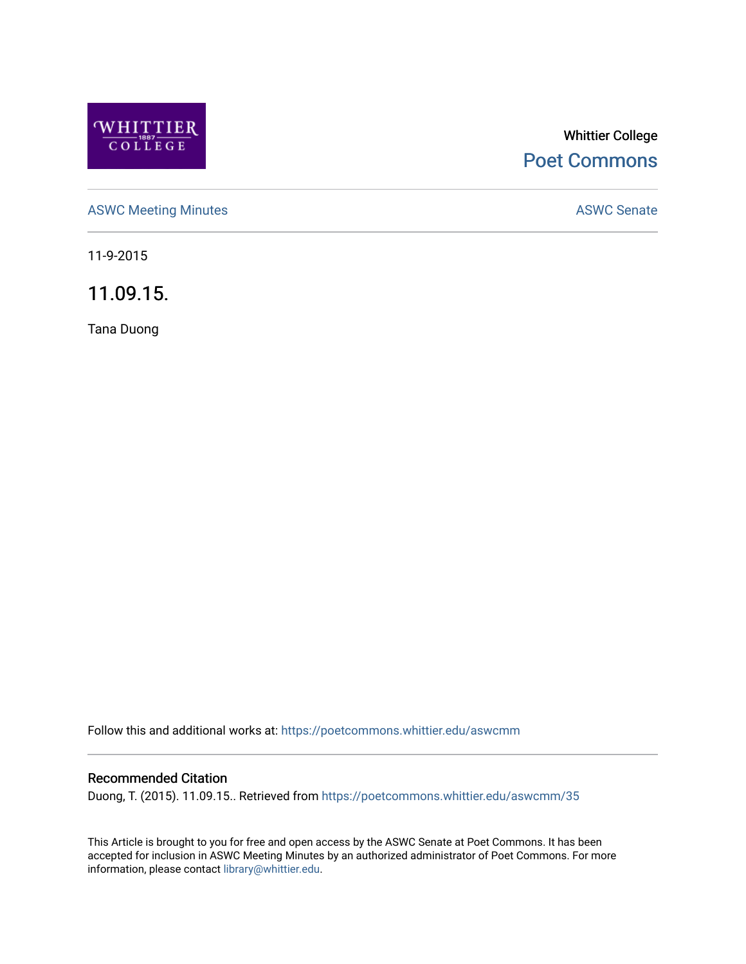

# Whittier College [Poet Commons](https://poetcommons.whittier.edu/)

[ASWC Meeting Minutes](https://poetcommons.whittier.edu/aswcmm) **ASWC Senate** 

11-9-2015

11.09.15.

Tana Duong

Follow this and additional works at: [https://poetcommons.whittier.edu/aswcmm](https://poetcommons.whittier.edu/aswcmm?utm_source=poetcommons.whittier.edu%2Faswcmm%2F35&utm_medium=PDF&utm_campaign=PDFCoverPages)

## Recommended Citation

Duong, T. (2015). 11.09.15.. Retrieved from [https://poetcommons.whittier.edu/aswcmm/35](https://poetcommons.whittier.edu/aswcmm/35?utm_source=poetcommons.whittier.edu%2Faswcmm%2F35&utm_medium=PDF&utm_campaign=PDFCoverPages) 

This Article is brought to you for free and open access by the ASWC Senate at Poet Commons. It has been accepted for inclusion in ASWC Meeting Minutes by an authorized administrator of Poet Commons. For more information, please contact [library@whittier.edu.](mailto:library@whittier.edu)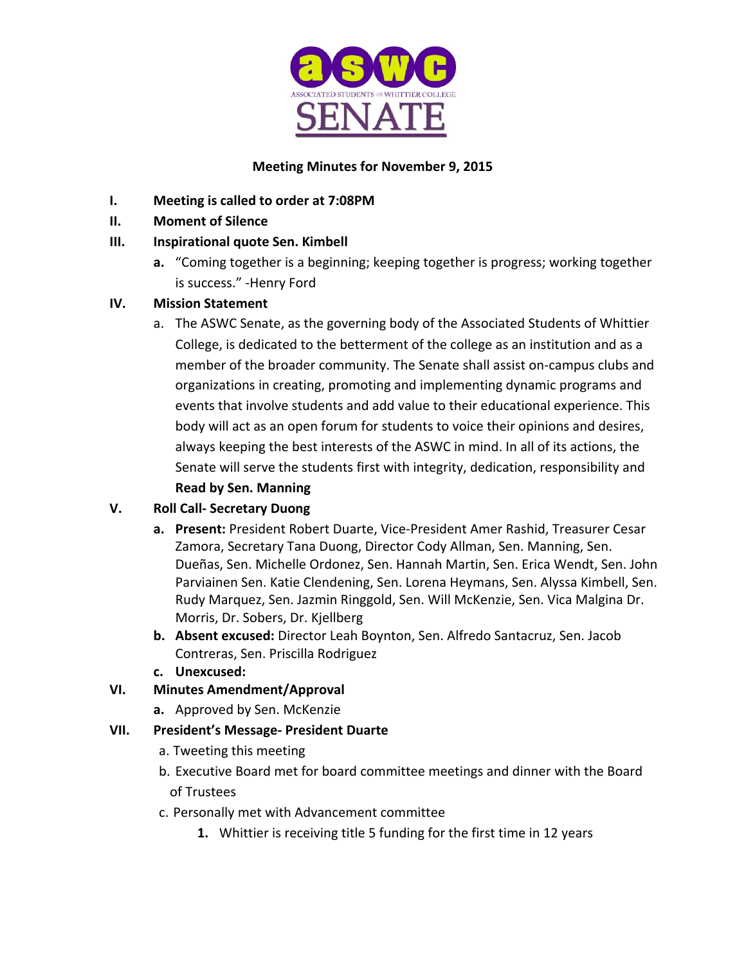

# **Meeting Minutes for November 9, 2015**

- **I.** Meeting is called to order at 7:08PM
- **II. Moment of Silence**

# **III.** Inspirational quote Sen. Kimbell

**a.** "Coming together is a beginning; keeping together is progress; working together is success." -Henry Ford

# **IV. Mission Statement**

a. The ASWC Senate, as the governing body of the Associated Students of Whittier College, is dedicated to the betterment of the college as an institution and as a member of the broader community. The Senate shall assist on-campus clubs and organizations in creating, promoting and implementing dynamic programs and events that involve students and add value to their educational experience. This body will act as an open forum for students to voice their opinions and desires, always keeping the best interests of the ASWC in mind. In all of its actions, the Senate will serve the students first with integrity, dedication, responsibility and **Read by Sen. Manning** 

# **V. Roll Call- Secretary Duong**

- a. Present: President Robert Duarte, Vice-President Amer Rashid, Treasurer Cesar Zamora, Secretary Tana Duong, Director Cody Allman, Sen. Manning, Sen. Dueñas, Sen. Michelle Ordonez, Sen. Hannah Martin, Sen. Erica Wendt, Sen. John Parviainen Sen. Katie Clendening, Sen. Lorena Heymans, Sen. Alyssa Kimbell, Sen. Rudy Marquez, Sen. Jazmin Ringgold, Sen. Will McKenzie, Sen. Vica Malgina Dr. Morris, Dr. Sobers, Dr. Kjellberg
- **b.** Absent excused: Director Leah Boynton, Sen. Alfredo Santacruz, Sen. Jacob Contreras, Sen. Priscilla Rodriguez
- **c. Unexcused:**

# **VI. Minutes Amendment/Approval**

**a.** Approved by Sen. McKenzie

## **VII. President's Message- President Duarte**

- a. Tweeting this meeting
- b. Executive Board met for board committee meetings and dinner with the Board of Trustees
- c. Personally met with Advancement committee
	- **1.** Whittier is receiving title 5 funding for the first time in 12 years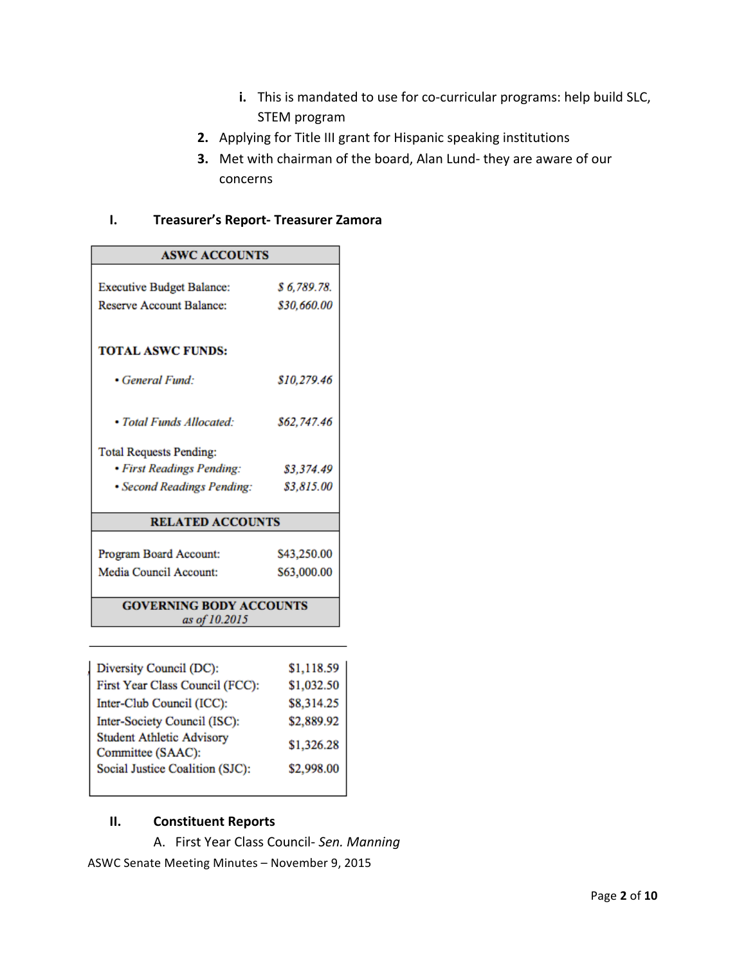- **i.** This is mandated to use for co-curricular programs: help build SLC, STEM program
- **2.** Applying for Title III grant for Hispanic speaking institutions
- **3.** Met with chairman of the board, Alan Lund- they are aware of our concerns

## **I. Treasurer's Report- Treasurer Zamora**

| <b>ASWC ACCOUNTS</b>             |             |  |
|----------------------------------|-------------|--|
|                                  |             |  |
| <b>Executive Budget Balance:</b> | \$6,789.78. |  |
| <b>Reserve Account Balance:</b>  | \$30,660.00 |  |
|                                  |             |  |
| <b>TOTAL ASWC FUNDS:</b>         |             |  |
| • General Fund:                  | \$10,279.46 |  |
|                                  |             |  |
| • Total Funds Allocated:         | \$62,747.46 |  |
| <b>Total Requests Pending:</b>   |             |  |
| • First Readings Pending:        | \$3,374.49  |  |
| • Second Readings Pending:       | \$3,815.00  |  |
|                                  |             |  |
| <b>RELATED ACCOUNTS</b>          |             |  |
| Program Board Account:           | \$43,250.00 |  |
| Media Council Account:           | \$63,000.00 |  |
|                                  |             |  |
| <b>GOVERNING BODY ACCOUNTS</b>   |             |  |
| as of 10.2015                    |             |  |

| Diversity Council (DC):                               |                            |
|-------------------------------------------------------|----------------------------|
| First Year Class Council (FCC):                       | $$1,118.59$<br>$$1,032.50$ |
| Inter-Club Council (ICC):                             | \$8,314.25<br>\$2,889.92   |
| Inter-Society Council (ISC):                          |                            |
| <b>Student Athletic Advisory</b><br>Committee (SAAC): | \$1,326.28                 |
| Social Justice Coalition (SJC):                       | \$2,998.00                 |
|                                                       |                            |

#### **II. Constituent Reports**

A. First Year Class Council- Sen. Manning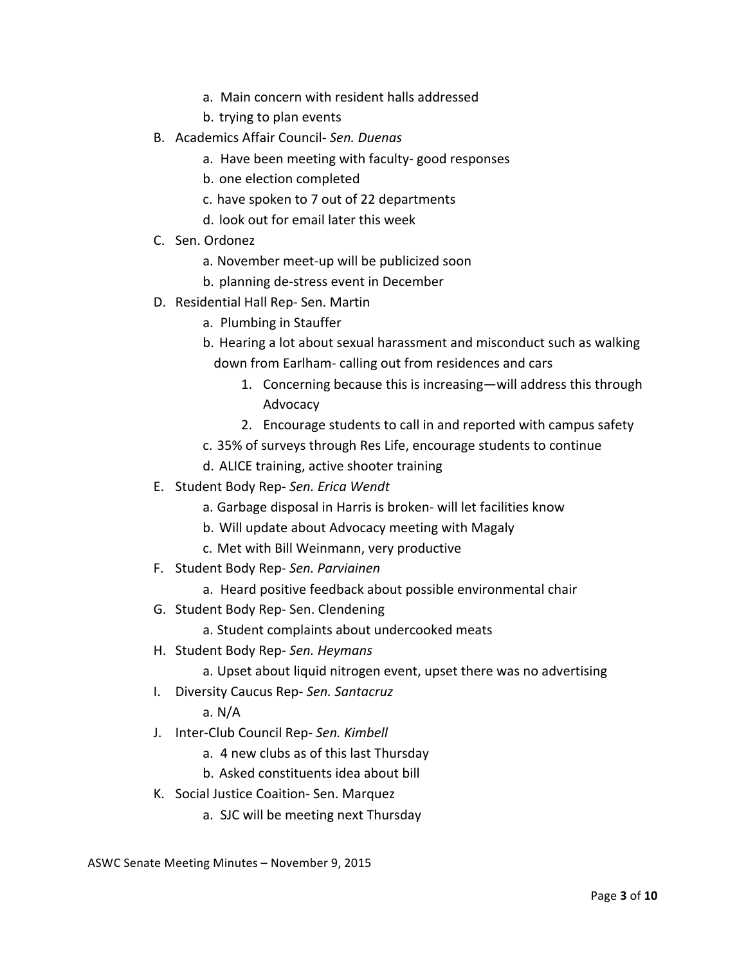- a. Main concern with resident halls addressed
- b. trying to plan events
- B. Academics Affair Council- *Sen. Duenas* 
	- a. Have been meeting with faculty- good responses
	- b. one election completed
	- c. have spoken to 7 out of 22 departments
	- d. look out for email later this week
- C. Sen. Ordonez
	- a. November meet-up will be publicized soon
	- b. planning de-stress event in December
- D. Residential Hall Rep- Sen. Martin
	- a. Plumbing in Stauffer
	- b. Hearing a lot about sexual harassment and misconduct such as walking down from Earlham- calling out from residences and cars
		- 1. Concerning because this is increasing—will address this through Advocacy
		- 2. Encourage students to call in and reported with campus safety
	- c. 35% of surveys through Res Life, encourage students to continue
	- d. ALICE training, active shooter training
- E. Student Body Rep- *Sen. Erica Wendt*
	- a. Garbage disposal in Harris is broken- will let facilities know
	- b. Will update about Advocacy meeting with Magaly
	- c. Met with Bill Weinmann, very productive
- F. Student Body Rep- *Sen. Parviainen*
	- a. Heard positive feedback about possible environmental chair
- G. Student Body Rep- Sen. Clendening
	- a. Student complaints about undercooked meats
- H. Student Body Rep- *Sen. Heymans*
	- a. Upset about liquid nitrogen event, upset there was no advertising
- **I.** Diversity Caucus Rep- Sen. Santacruz

a. N/A

- J. Inter-Club Council Rep- *Sen. Kimbell*
	- a. 4 new clubs as of this last Thursday
	- b. Asked constituents idea about bill
- K. Social Justice Coaition- Sen. Marquez
	- a. SJC will be meeting next Thursday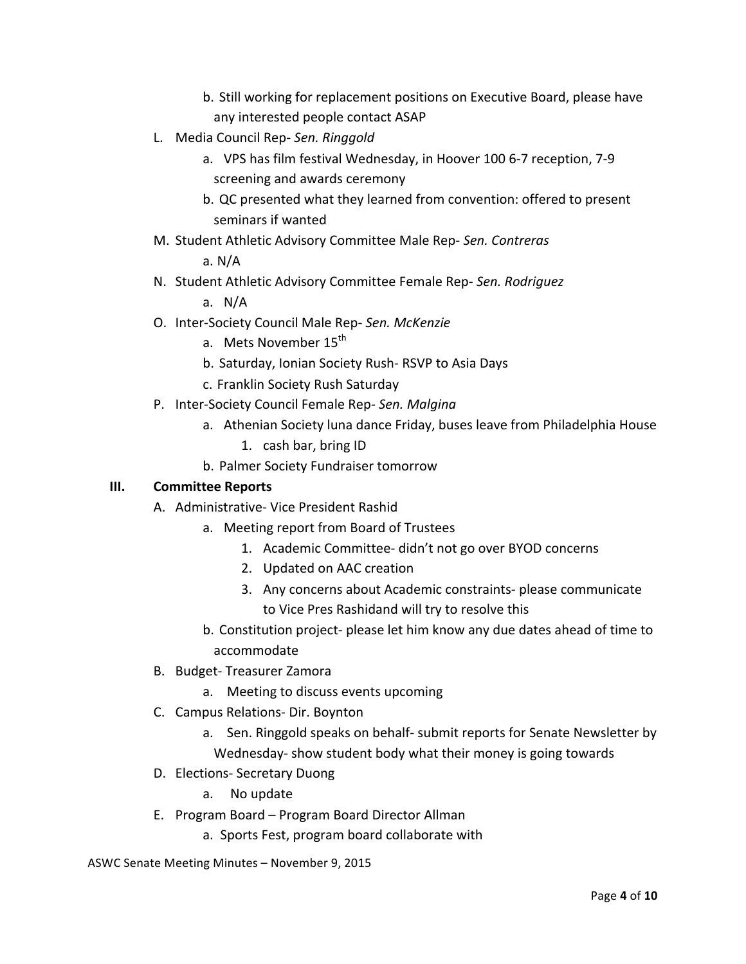- b. Still working for replacement positions on Executive Board, please have any interested people contact ASAP
- L. Media Council Rep- Sen. Ringgold
	- a. VPS has film festival Wednesday, in Hoover 100 6-7 reception, 7-9 screening and awards ceremony
	- b. QC presented what they learned from convention: offered to present seminars if wanted
- M. Student Athletic Advisory Committee Male Rep- *Sen. Contreras*

a. N/A

N. Student Athletic Advisory Committee Female Rep- Sen. Rodriguez

a.  $N/A$ 

- O. Inter-Society Council Male Rep- *Sen. McKenzie*
	- a. Mets November 15<sup>th</sup>
	- b. Saturday, Ionian Society Rush- RSVP to Asia Days
	- c. Franklin Society Rush Saturday
- P. Inter-Society Council Female Rep- *Sen. Malgina*
	- a. Athenian Society luna dance Friday, buses leave from Philadelphia House
		- 1. cash bar, bring ID
	- b. Palmer Society Fundraiser tomorrow

## **III. Committee Reports**

- A. Administrative- Vice President Rashid
	- a. Meeting report from Board of Trustees
		- 1. Academic Committee- didn't not go over BYOD concerns
		- 2. Updated on AAC creation
		- 3. Any concerns about Academic constraints- please communicate to Vice Pres Rashidand will try to resolve this
	- b. Constitution project- please let him know any due dates ahead of time to accommodate
- B. Budget- Treasurer Zamora
	- a. Meeting to discuss events upcoming
- C. Campus Relations- Dir. Boynton
	- a. Sen. Ringgold speaks on behalf- submit reports for Senate Newsletter by Wednesday- show student body what their money is going towards
- D. Elections- Secretary Duong
	- a. No update
- E. Program Board Program Board Director Allman
	- a. Sports Fest, program board collaborate with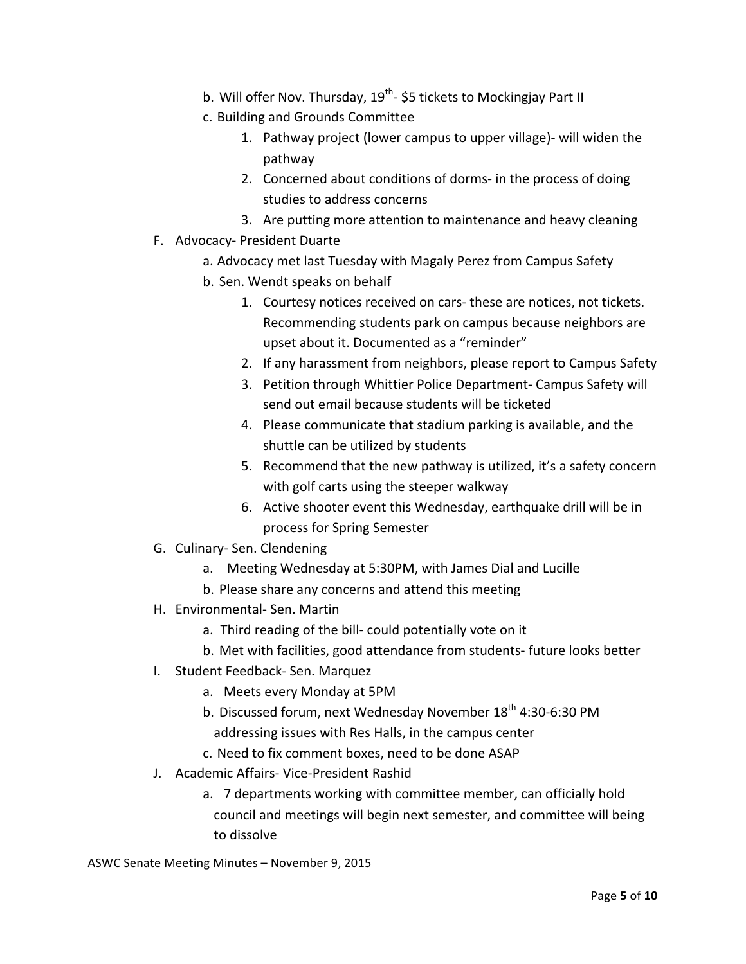- b. Will offer Nov. Thursday,  $19^{th}$  \$5 tickets to Mockingjay Part II
- c. Building and Grounds Committee
	- 1. Pathway project (lower campus to upper village)- will widen the pathway
	- 2. Concerned about conditions of dorms- in the process of doing studies to address concerns
	- 3. Are putting more attention to maintenance and heavy cleaning
- F. Advocacy- President Duarte
	- a. Advocacy met last Tuesday with Magaly Perez from Campus Safety
	- b. Sen. Wendt speaks on behalf
		- 1. Courtesy notices received on cars- these are notices, not tickets. Recommending students park on campus because neighbors are upset about it. Documented as a "reminder"
		- 2. If any harassment from neighbors, please report to Campus Safety
		- 3. Petition through Whittier Police Department- Campus Safety will send out email because students will be ticketed
		- 4. Please communicate that stadium parking is available, and the shuttle can be utilized by students
		- 5. Recommend that the new pathway is utilized, it's a safety concern with golf carts using the steeper walkway
		- 6. Active shooter event this Wednesday, earthquake drill will be in process for Spring Semester
- G. Culinary- Sen. Clendening
	- a. Meeting Wednesday at 5:30PM, with James Dial and Lucille
	- b. Please share any concerns and attend this meeting
- H. Environmental- Sen. Martin
	- a. Third reading of the bill- could potentially vote on it
	- b. Met with facilities, good attendance from students- future looks better
- I. Student Feedback- Sen. Marquez
	- a. Meets every Monday at 5PM
	- b. Discussed forum, next Wednesday November 18<sup>th</sup> 4:30-6:30 PM addressing issues with Res Halls, in the campus center
	- c. Need to fix comment boxes, need to be done ASAP
- J. Academic Affairs- Vice-President Rashid
	- a. 7 departments working with committee member, can officially hold council and meetings will begin next semester, and committee will being to dissolve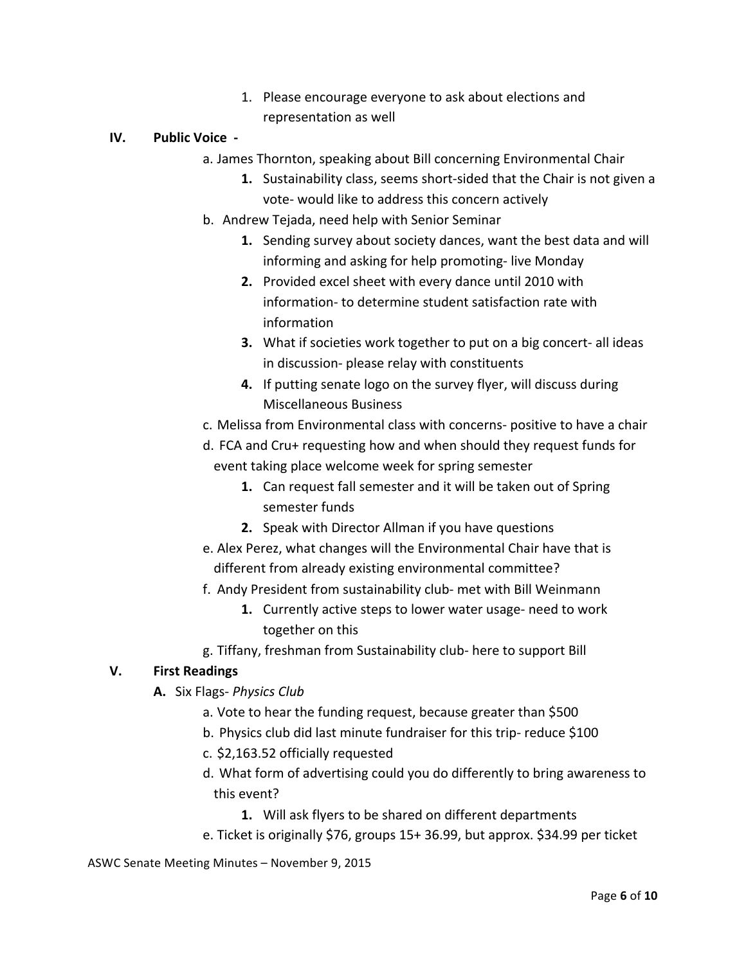1. Please encourage everyone to ask about elections and representation as well

#### **IV. Public Voice** -

- a. James Thornton, speaking about Bill concerning Environmental Chair
	- **1.** Sustainability class, seems short-sided that the Chair is not given a vote- would like to address this concern actively
- b. Andrew Tejada, need help with Senior Seminar
	- **1.** Sending survey about society dances, want the best data and will informing and asking for help promoting- live Monday
	- **2.** Provided excel sheet with every dance until 2010 with information- to determine student satisfaction rate with information
	- **3.** What if societies work together to put on a big concert- all ideas in discussion- please relay with constituents
	- **4.** If putting senate logo on the survey flyer, will discuss during Miscellaneous Business
- c. Melissa from Environmental class with concerns- positive to have a chair
- d. FCA and Cru+ requesting how and when should they request funds for event taking place welcome week for spring semester
	- **1.** Can request fall semester and it will be taken out of Spring semester funds
	- **2.** Speak with Director Allman if you have questions
- e. Alex Perez, what changes will the Environmental Chair have that is different from already existing environmental committee?
- f. Andy President from sustainability club- met with Bill Weinmann
	- **1.** Currently active steps to lower water usage- need to work together on this
- g. Tiffany, freshman from Sustainability club- here to support Bill

## **V. First Readings**

- **A.** Six Flags- *Physics Club*
	- a. Vote to hear the funding request, because greater than \$500
	- b. Physics club did last minute fundraiser for this trip- reduce \$100
	- c. \$2,163.52 officially requested
	- d. What form of advertising could you do differently to bring awareness to this event?
		- **1.** Will ask flyers to be shared on different departments
	- e. Ticket is originally \$76, groups  $15+36.99$ , but approx. \$34.99 per ticket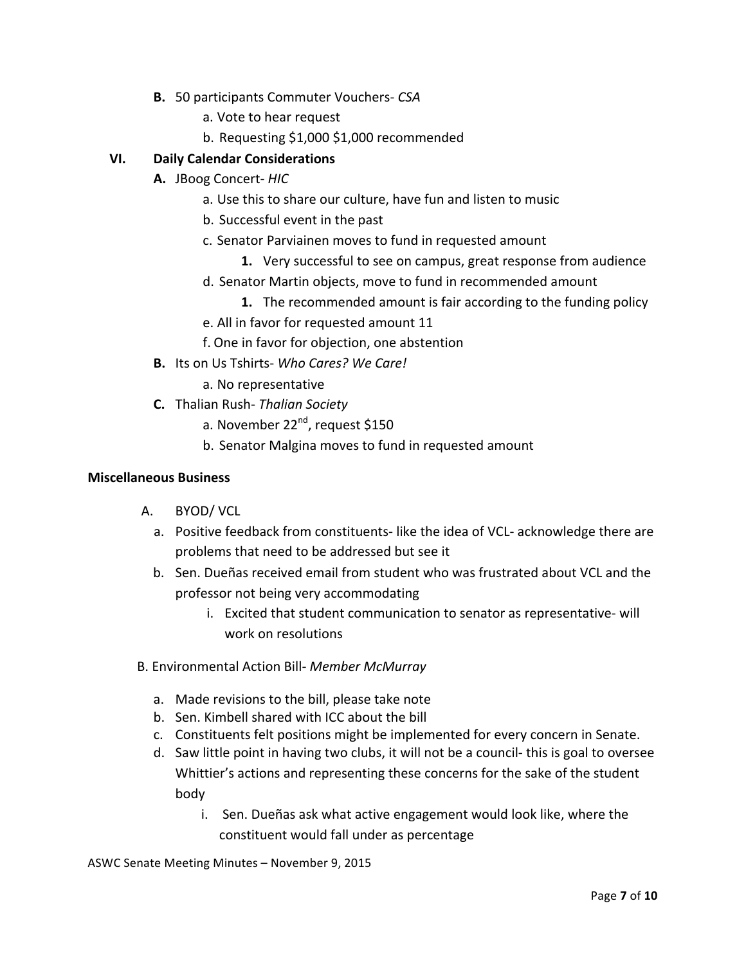- **B.** 50 participants Commuter Vouchers- CSA
	- a. Vote to hear request
	- b. Requesting \$1,000 \$1,000 recommended

## **VI. Daily Calendar Considerations**

- **A.** JBoog Concert- *HIC* 
	- a. Use this to share our culture, have fun and listen to music
	- b. Successful event in the past
	- c. Senator Parviainen moves to fund in requested amount
		- **1.** Very successful to see on campus, great response from audience
	- d. Senator Martin objects, move to fund in recommended amount
		- **1.** The recommended amount is fair according to the funding policy
	- e. All in favor for requested amount 11
	- f. One in favor for objection, one abstention
- **B.** Its on Us Tshirts- *Who Cares? We Care!* 
	- a. No representative
- **C.** Thalian Rush- *Thalian Society* 
	- a. November 22<sup>nd</sup>, request \$150
	- b. Senator Malgina moves to fund in requested amount

#### **Miscellaneous Business**

- A. BYOD/ VCL
	- a. Positive feedback from constituents- like the idea of VCL- acknowledge there are problems that need to be addressed but see it
	- b. Sen. Dueñas received email from student who was frustrated about VCL and the professor not being very accommodating
		- i. Excited that student communication to senator as representative- will work on resolutions
- B. Environmental Action Bill- Member McMurray
	- a. Made revisions to the bill, please take note
	- b. Sen. Kimbell shared with ICC about the bill
	- c. Constituents felt positions might be implemented for every concern in Senate.
	- d. Saw little point in having two clubs, it will not be a council- this is goal to oversee Whittier's actions and representing these concerns for the sake of the student body
		- i. Sen. Dueñas ask what active engagement would look like, where the constituent would fall under as percentage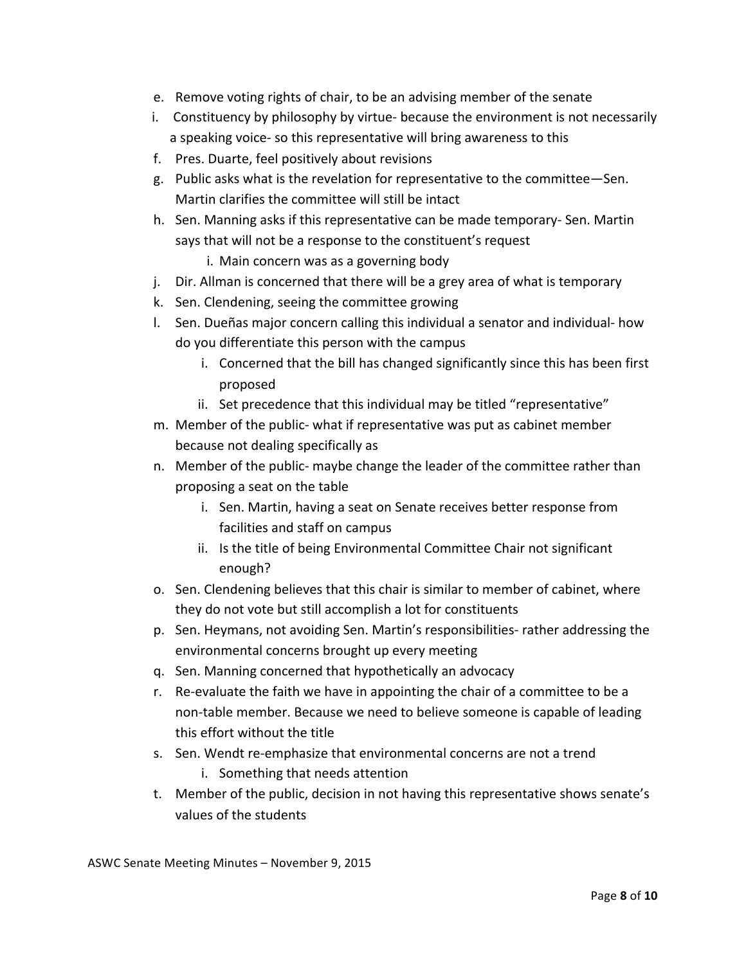- e. Remove voting rights of chair, to be an advising member of the senate
- i. Constituency by philosophy by virtue- because the environment is not necessarily a speaking voice- so this representative will bring awareness to this
- f. Pres. Duarte, feel positively about revisions
- g. Public asks what is the revelation for representative to the committee–Sen. Martin clarifies the committee will still be intact
- h. Sen. Manning asks if this representative can be made temporary- Sen. Martin says that will not be a response to the constituent's request
	- i. Main concern was as a governing body
- j. Dir. Allman is concerned that there will be a grey area of what is temporary
- k. Sen. Clendening, seeing the committee growing
- l. Sen. Dueñas major concern calling this individual a senator and individual- how do you differentiate this person with the campus
	- i. Concerned that the bill has changed significantly since this has been first proposed
	- ii. Set precedence that this individual may be titled "representative"
- m. Member of the public- what if representative was put as cabinet member because not dealing specifically as
- n. Member of the public- maybe change the leader of the committee rather than proposing a seat on the table
	- i. Sen. Martin, having a seat on Senate receives better response from facilities and staff on campus
	- ii. Is the title of being Environmental Committee Chair not significant enough?
- o. Sen. Clendening believes that this chair is similar to member of cabinet, where they do not vote but still accomplish a lot for constituents
- p. Sen. Heymans, not avoiding Sen. Martin's responsibilities- rather addressing the environmental concerns brought up every meeting
- g. Sen. Manning concerned that hypothetically an advocacy
- r. Re-evaluate the faith we have in appointing the chair of a committee to be a non-table member. Because we need to believe someone is capable of leading this effort without the title
- s. Sen. Wendt re-emphasize that environmental concerns are not a trend
	- i. Something that needs attention
- t. Member of the public, decision in not having this representative shows senate's values of the students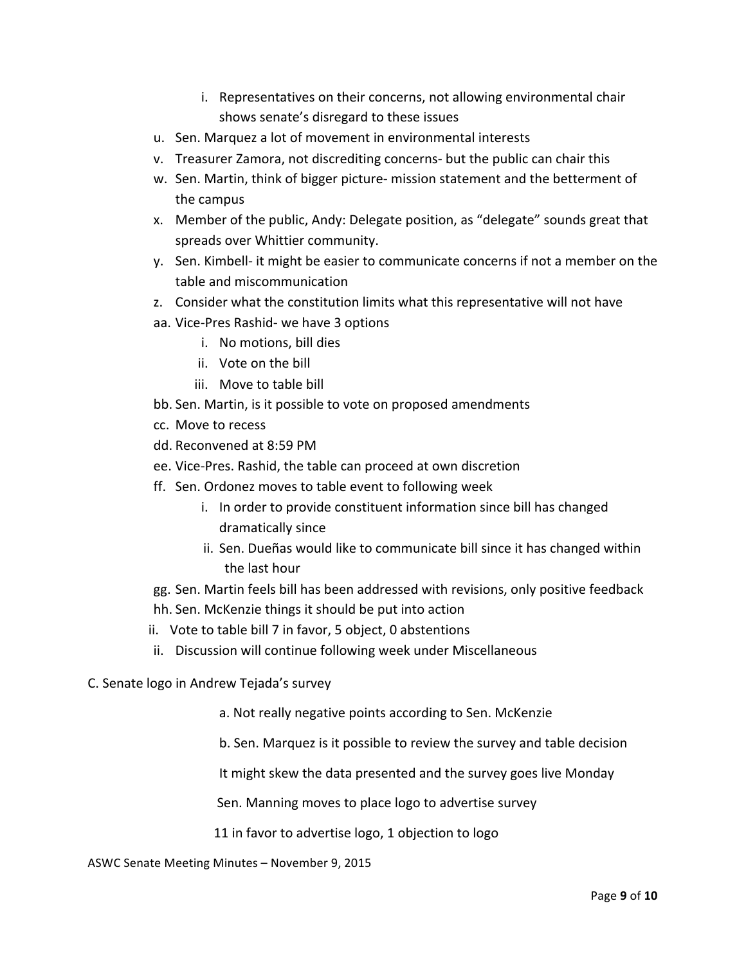- i. Representatives on their concerns, not allowing environmental chair shows senate's disregard to these issues
- u. Sen. Marquez a lot of movement in environmental interests
- v. Treasurer Zamora, not discrediting concerns- but the public can chair this
- w. Sen. Martin, think of bigger picture- mission statement and the betterment of the campus
- x. Member of the public, Andy: Delegate position, as "delegate" sounds great that spreads over Whittier community.
- y. Sen. Kimbell- it might be easier to communicate concerns if not a member on the table and miscommunication
- z. Consider what the constitution limits what this representative will not have
- aa. Vice-Pres Rashid- we have 3 options
	- i. No motions, bill dies
	- ii. Vote on the bill
	- iii. Move to table bill
- bb. Sen. Martin, is it possible to vote on proposed amendments
- cc. Move to recess
- dd. Reconvened at 8:59 PM
- ee. Vice-Pres. Rashid, the table can proceed at own discretion
- ff. Sen. Ordonez moves to table event to following week
	- i. In order to provide constituent information since bill has changed dramatically since
	- ii. Sen. Dueñas would like to communicate bill since it has changed within the last hour
- gg. Sen. Martin feels bill has been addressed with revisions, only positive feedback
- hh. Sen. McKenzie things it should be put into action
- ii. Vote to table bill 7 in favor, 5 object, 0 abstentions
- ii. Discussion will continue following week under Miscellaneous
- C. Senate logo in Andrew Tejada's survey
	- a. Not really negative points according to Sen. McKenzie
	- b. Sen. Marquez is it possible to review the survey and table decision

It might skew the data presented and the survey goes live Monday

Sen. Manning moves to place logo to advertise survey

11 in favor to advertise logo, 1 objection to logo